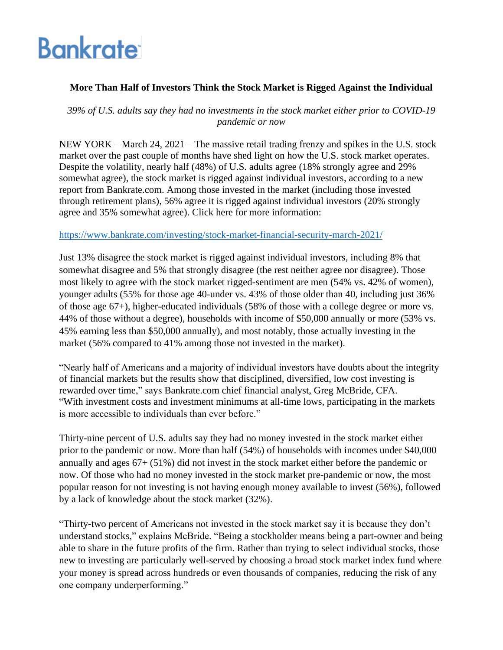# **Bankrate**

# **More Than Half of Investors Think the Stock Market is Rigged Against the Individual**

*39% of U.S. adults say they had no investments in the stock market either prior to COVID-19 pandemic or now*

NEW YORK – March 24, 2021 – The massive retail trading frenzy and spikes in the U.S. stock market over the past couple of months have shed light on how the U.S. stock market operates. Despite the volatility, nearly half (48%) of U.S. adults agree (18% strongly agree and 29% somewhat agree), the stock market is rigged against individual investors, according to a new report from Bankrate.com. Among those invested in the market (including those invested through retirement plans), 56% agree it is rigged against individual investors (20% strongly agree and 35% somewhat agree). Click here for more information:

### <https://www.bankrate.com/investing/stock-market-financial-security-march-2021/>

Just 13% disagree the stock market is rigged against individual investors, including 8% that somewhat disagree and 5% that strongly disagree (the rest neither agree nor disagree). Those most likely to agree with the stock market rigged-sentiment are men (54% vs. 42% of women), younger adults (55% for those age 40-under vs. 43% of those older than 40, including just 36% of those age 67+), higher-educated individuals (58% of those with a college degree or more vs. 44% of those without a degree), households with income of \$50,000 annually or more (53% vs. 45% earning less than \$50,000 annually), and most notably, those actually investing in the market (56% compared to 41% among those not invested in the market).

"Nearly half of Americans and a majority of individual investors have doubts about the integrity of financial markets but the results show that disciplined, diversified, low cost investing is rewarded over time," says Bankrate.com chief financial analyst, Greg McBride, CFA. "With investment costs and investment minimums at all-time lows, participating in the markets is more accessible to individuals than ever before."

Thirty-nine percent of U.S. adults say they had no money invested in the stock market either prior to the pandemic or now. More than half (54%) of households with incomes under \$40,000 annually and ages 67+ (51%) did not invest in the stock market either before the pandemic or now. Of those who had no money invested in the stock market pre-pandemic or now, the most popular reason for not investing is not having enough money available to invest (56%), followed by a lack of knowledge about the stock market (32%).

"Thirty-two percent of Americans not invested in the stock market say it is because they don't understand stocks," explains McBride. "Being a stockholder means being a part-owner and being able to share in the future profits of the firm. Rather than trying to select individual stocks, those new to investing are particularly well-served by choosing a broad stock market index fund where your money is spread across hundreds or even thousands of companies, reducing the risk of any one company underperforming."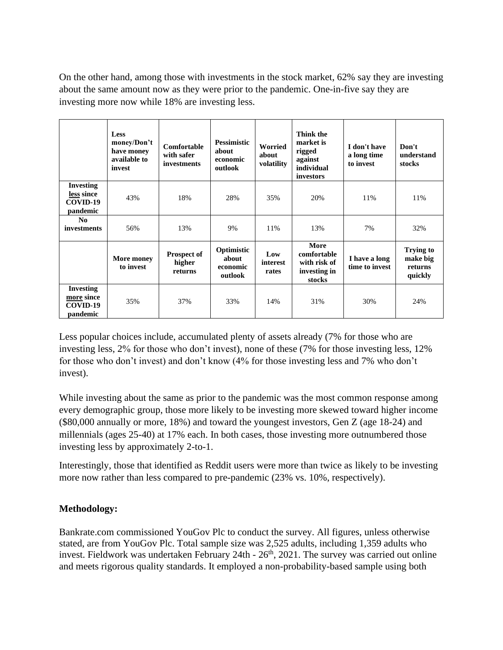On the other hand, among those with investments in the stock market, 62% say they are investing about the same amount now as they were prior to the pandemic. One-in-five say they are investing more now while 18% are investing less.

|                                                        | Less<br>money/Don't<br>have money<br>available to<br>invest | Comfortable<br>with safer<br>investments | <b>Pessimistic</b><br>about<br>economic<br>outlook | Worried<br>about<br>volatility | Think the<br>market is<br>rigged<br>against<br>individual<br>investors | I don't have<br>a long time<br>to invest | Don't<br>understand<br>stocks                      |
|--------------------------------------------------------|-------------------------------------------------------------|------------------------------------------|----------------------------------------------------|--------------------------------|------------------------------------------------------------------------|------------------------------------------|----------------------------------------------------|
| <b>Investing</b><br>less since<br>COVID-19<br>pandemic | 43%                                                         | 18%                                      | 28%                                                | 35%                            | 20%                                                                    | 11%                                      | 11%                                                |
| N <sub>0</sub><br>investments                          | 56%                                                         | 13%                                      | 9%                                                 | 11%                            | 13%                                                                    | 7%                                       | 32%                                                |
|                                                        | More money<br>to invest                                     | <b>Prospect of</b><br>higher<br>returns  | Optimistic<br>about<br>economic<br>outlook         | Low<br>interest<br>rates       | More<br>comfortable<br>with risk of<br>investing in<br>stocks          | I have a long<br>time to invest          | <b>Trying to</b><br>make big<br>returns<br>quickly |
| <b>Investing</b><br>more since<br>COVID-19<br>pandemic | 35%                                                         | 37%                                      | 33%                                                | 14%                            | 31%                                                                    | 30%                                      | 24%                                                |

Less popular choices include, accumulated plenty of assets already (7% for those who are investing less, 2% for those who don't invest), none of these (7% for those investing less, 12% for those who don't invest) and don't know (4% for those investing less and 7% who don't invest).

While investing about the same as prior to the pandemic was the most common response among every demographic group, those more likely to be investing more skewed toward higher income (\$80,000 annually or more, 18%) and toward the youngest investors, Gen Z (age 18-24) and millennials (ages 25-40) at 17% each. In both cases, those investing more outnumbered those investing less by approximately 2-to-1.

Interestingly, those that identified as Reddit users were more than twice as likely to be investing more now rather than less compared to pre-pandemic (23% vs. 10%, respectively).

## **Methodology:**

Bankrate.com commissioned YouGov Plc to conduct the survey. All figures, unless otherwise stated, are from YouGov Plc. Total sample size was 2,525 adults, including 1,359 adults who invest. Fieldwork was undertaken February 24th - 26<sup>th</sup>, 2021. The survey was carried out online and meets rigorous quality standards. It employed a non-probability-based sample using both